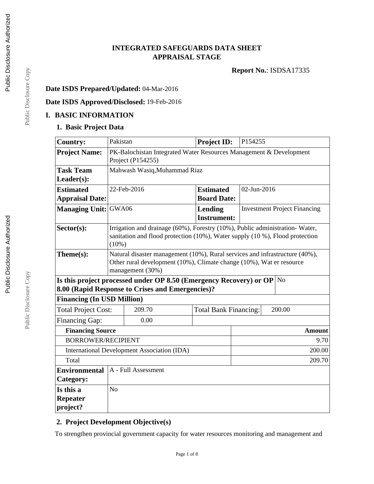# **INTEGRATED SAFEGUARDS DATA SHEET APPRAISAL STAGE**

**Report No.**: ISDSA17335

## **Date ISDS Prepared/Updated:** 04-Mar-2016

## **Date ISDS Approved/Disclosed:** 19-Feb-2016

## **I. BASIC INFORMATION**

## **1. Basic Project Data**

| <b>Country:</b>                                                                                                                               | Pakistan                                                                                                                                                                |                                                  | <b>Project ID:</b>            |      | P154255                             |        |  |
|-----------------------------------------------------------------------------------------------------------------------------------------------|-------------------------------------------------------------------------------------------------------------------------------------------------------------------------|--------------------------------------------------|-------------------------------|------|-------------------------------------|--------|--|
| <b>Project Name:</b>                                                                                                                          | PK-Balochistan Integrated Water Resources Management & Development<br>Project (P154255)                                                                                 |                                                  |                               |      |                                     |        |  |
| <b>Task Team</b>                                                                                                                              | Mahwash Wasiq, Muhammad Riaz                                                                                                                                            |                                                  |                               |      |                                     |        |  |
| Leader(s):                                                                                                                                    |                                                                                                                                                                         |                                                  |                               |      |                                     |        |  |
| <b>Estimated</b>                                                                                                                              |                                                                                                                                                                         | 22-Feb-2016                                      | <b>Estimated</b>              |      | 02-Jun-2016                         |        |  |
| <b>Appraisal Date:</b>                                                                                                                        |                                                                                                                                                                         |                                                  | <b>Board Date:</b>            |      |                                     |        |  |
| <b>Managing Unit:</b>                                                                                                                         | GWA06                                                                                                                                                                   |                                                  | Lending<br><b>Instrument:</b> |      | <b>Investment Project Financing</b> |        |  |
| $Sector(s)$ :                                                                                                                                 | Irrigation and drainage (60%), Forestry (10%), Public administration-Water,<br>sanitation and flood protection (10%), Water supply (10 %), Flood protection<br>(10%)    |                                                  |                               |      |                                     |        |  |
| Theme(s):                                                                                                                                     | Natural disaster management (10%), Rural services and infrastructure (40%),<br>Other rural development (10%), Climate change (10%), Wat er resource<br>management (30%) |                                                  |                               |      |                                     |        |  |
| Is this project processed under OP 8.50 (Emergency Recovery) or OP<br>$\overline{\rm No}$<br>8.00 (Rapid Response to Crises and Emergencies)? |                                                                                                                                                                         |                                                  |                               |      |                                     |        |  |
| <b>Financing (In USD Million)</b>                                                                                                             |                                                                                                                                                                         |                                                  |                               |      |                                     |        |  |
| <b>Total Project Cost:</b>                                                                                                                    |                                                                                                                                                                         | 209.70<br><b>Total Bank Financing:</b><br>200.00 |                               |      |                                     |        |  |
| <b>Financing Gap:</b>                                                                                                                         |                                                                                                                                                                         | 0.00                                             |                               |      |                                     |        |  |
|                                                                                                                                               | <b>Financing Source</b>                                                                                                                                                 |                                                  |                               |      |                                     | Amount |  |
| <b>BORROWER/RECIPIENT</b>                                                                                                                     |                                                                                                                                                                         |                                                  |                               | 9.70 |                                     |        |  |
| <b>International Development Association (IDA)</b><br>200.00                                                                                  |                                                                                                                                                                         |                                                  |                               |      |                                     |        |  |
| Total<br>209.70                                                                                                                               |                                                                                                                                                                         |                                                  |                               |      |                                     |        |  |
| A - Full Assessment<br><b>Environmental</b>                                                                                                   |                                                                                                                                                                         |                                                  |                               |      |                                     |        |  |
| Category:                                                                                                                                     |                                                                                                                                                                         |                                                  |                               |      |                                     |        |  |
| Is this a                                                                                                                                     | N <sub>o</sub>                                                                                                                                                          |                                                  |                               |      |                                     |        |  |
| Repeater                                                                                                                                      |                                                                                                                                                                         |                                                  |                               |      |                                     |        |  |
| project?                                                                                                                                      |                                                                                                                                                                         |                                                  |                               |      |                                     |        |  |

# **2. Project Development Objective(s)**

To strengthen provincial government capacity for water resources monitoring and management and

Page 1 of 8

Public Disclosure Copy Public Disclosure Copy

Public Disclosure Copy

Public Disclosure Copy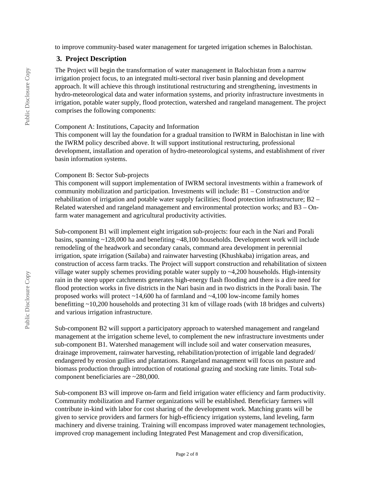to improve community-based water management for targeted irrigation schemes in Balochistan.

#### **3. Project Description**

The Project will begin the transformation of water management in Balochistan from a narrow irrigation project focus, to an integrated multi-sectoral river basin planning and development approach. It will achieve this through institutional restructuring and strengthening, investments in hydro-meteorological data and water information systems, and priority infrastructure investments in irrigation, potable water supply, flood protection, watershed and rangeland management. The project comprises the following components:

#### Component A: Institutions, Capacity and Information

This component will lay the foundation for a gradual transition to IWRM in Balochistan in line with the IWRM policy described above. It will support institutional restructuring, professional development, installation and operation of hydro-meteorological systems, and establishment of river basin information systems.

#### Component B: Sector Sub-projects

This component will support implementation of IWRM sectoral investments within a framework of community mobilization and participation. Investments will include: B1 – Construction and/or rehabilitation of irrigation and potable water supply facilities; flood protection infrastructure; B2 – Related watershed and rangeland management and environmental protection works; and B3 – Onfarm water management and agricultural productivity activities.

Sub-component B1 will implement eight irrigation sub-projects: four each in the Nari and Porali basins, spanning ~128,000 ha and benefiting ~48,100 households. Development work will include remodeling of the headwork and secondary canals, command area development in perennial irrigation, spate irrigation (Sailaba) and rainwater harvesting (Khushkaba) irrigation areas, and construction of access farm tracks. The Project will support construction and rehabilitation of sixteen village water supply schemes providing potable water supply to ~4,200 households. High-intensity rain in the steep upper catchments generates high-energy flash flooding and there is a dire need for flood protection works in five districts in the Nari basin and in two districts in the Porali basin. The proposed works will protect ~14,600 ha of farmland and ~4,100 low-income family homes benefitting ~10,200 households and protecting 31 km of village roads (with 18 bridges and culverts) and various irrigation infrastructure.

Sub-component B2 will support a participatory approach to watershed management and rangeland management at the irrigation scheme level, to complement the new infrastructure investments under sub-component B1. Watershed management will include soil and water conservation measures, drainage improvement, rainwater harvesting, rehabilitation/protection of irrigable land degraded/ endangered by erosion gullies and plantations. Rangeland management will focus on pasture and biomass production through introduction of rotational grazing and stocking rate limits. Total subcomponent beneficiaries are ~280,000.

Sub-component B3 will improve on-farm and field irrigation water efficiency and farm productivity. Community mobilization and Farmer organizations will be established. Beneficiary farmers will contribute in-kind with labor for cost sharing of the development work. Matching grants will be given to service providers and farmers for high-efficiency irrigation systems, land leveling, farm machinery and diverse training. Training will encompass improved water management technologies, improved crop management including Integrated Pest Management and crop diversification,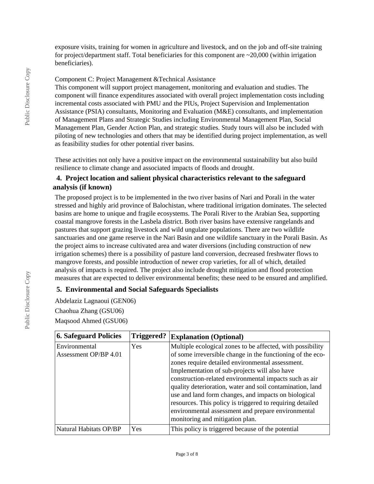exposure visits, training for women in agriculture and livestock, and on the job and off-site training for project/department staff. Total beneficiaries for this component are  $\sim$ 20,000 (within irrigation beneficiaries).

Component C: Project Management &Technical Assistance

This component will support project management, monitoring and evaluation and studies. The component will finance expenditures associated with overall project implementation costs including incremental costs associated with PMU and the PIUs, Project Supervision and Implementation Assistance (PSIA) consultants, Monitoring and Evaluation (M&E) consultants, and implementation of Management Plans and Strategic Studies including Environmental Management Plan, Social Management Plan, Gender Action Plan, and strategic studies. Study tours will also be included with piloting of new technologies and others that may be identified during project implementation, as well as feasibility studies for other potential river basins.

These activities not only have a positive impact on the environmental sustainability but also build resilience to climate change and associated impacts of floods and drought.

### **4. Project location and salient physical characteristics relevant to the safeguard analysis (if known)**

The proposed project is to be implemented in the two river basins of Nari and Porali in the water stressed and highly arid province of Balochistan, where traditional irrigation dominates. The selected basins are home to unique and fragile ecosystems. The Porali River to the Arabian Sea, supporting coastal mangrove forests in the Lasbela district. Both river basins have extensive rangelands and pastures that support grazing livestock and wild ungulate populations. There are two wildlife sanctuaries and one game reserve in the Nari Basin and one wildlife sanctuary in the Porali Basin. As the project aims to increase cultivated area and water diversions (including construction of new irrigation schemes) there is a possibility of pasture land conversion, decreased freshwater flows to mangrove forests, and possible introduction of newer crop varieties, for all of which, detailed analysis of impacts is required. The project also include drought mitigation and flood protection measures that are expected to deliver environmental benefits; these need to be ensured and amplified.

#### **5. Environmental and Social Safeguards Specialists**

Abdelaziz Lagnaoui (GEN06) Chaohua Zhang (GSU06) Maqsood Ahmed (GSU06)

| <b>6. Safeguard Policies</b>           | Triggered? | <b>Explanation (Optional)</b>                                                                                                                                                                                                                                                                                                                                                                                                                                                                                                                                      |
|----------------------------------------|------------|--------------------------------------------------------------------------------------------------------------------------------------------------------------------------------------------------------------------------------------------------------------------------------------------------------------------------------------------------------------------------------------------------------------------------------------------------------------------------------------------------------------------------------------------------------------------|
| Environmental<br>Assessment OP/BP 4.01 | Yes        | Multiple ecological zones to be affected, with possibility<br>of some irreversible change in the functioning of the eco-<br>zones require detailed environmental assessment.<br>Implementation of sub-projects will also have<br>construction-related environmental impacts such as air<br>quality deterioration, water and soil contamination, land<br>use and land form changes, and impacts on biological<br>resources. This policy is triggered to requiring detailed<br>environmental assessment and prepare environmental<br>monitoring and mitigation plan. |
| Natural Habitats OP/BP                 | Yes        | This policy is triggered because of the potential                                                                                                                                                                                                                                                                                                                                                                                                                                                                                                                  |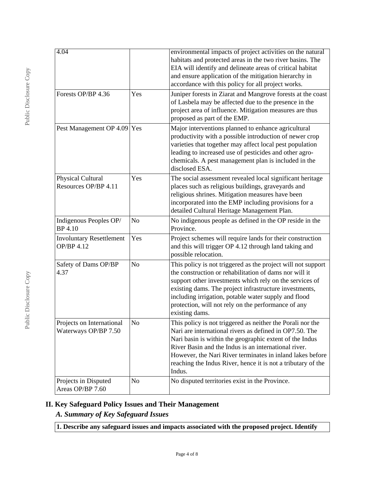| 4.04<br>Forests OP/BP 4.36                           | Yes            | environmental impacts of project activities on the natural<br>habitats and protected areas in the two river basins. The<br>EIA will identify and delineate areas of critical habitat<br>and ensure application of the mitigation hierarchy in<br>accordance with this policy for all project works.<br>Juniper forests in Ziarat and Mangrove forests at the coast<br>of Lasbela may be affected due to the presence in the<br>project area of influence. Mitigation measures are thus<br>proposed as part of the EMP. |
|------------------------------------------------------|----------------|------------------------------------------------------------------------------------------------------------------------------------------------------------------------------------------------------------------------------------------------------------------------------------------------------------------------------------------------------------------------------------------------------------------------------------------------------------------------------------------------------------------------|
| Pest Management OP 4.09 Yes                          |                | Major interventions planned to enhance agricultural<br>productivity with a possible introduction of newer crop<br>varieties that together may affect local pest population<br>leading to increased use of pesticides and other agro-<br>chemicals. A pest management plan is included in the<br>disclosed ESA.                                                                                                                                                                                                         |
| Physical Cultural<br>Resources OP/BP 4.11            | Yes            | The social assessment revealed local significant heritage<br>places such as religious buildings, graveyards and<br>religious shrines. Mitigation measures have been<br>incorporated into the EMP including provisions for a<br>detailed Cultural Heritage Management Plan.                                                                                                                                                                                                                                             |
| Indigenous Peoples OP/<br>BP 4.10                    | N <sub>o</sub> | No indigenous people as defined in the OP reside in the<br>Province.                                                                                                                                                                                                                                                                                                                                                                                                                                                   |
| <b>Involuntary Resettlement</b><br><b>OP/BP 4.12</b> | Yes            | Project schemes will require lands for their construction<br>and this will trigger OP 4.12 through land taking and<br>possible relocation.                                                                                                                                                                                                                                                                                                                                                                             |
| Safety of Dams OP/BP<br>4.37                         | N <sub>o</sub> | This policy is not triggered as the project will not support<br>the construction or rehabilitation of dams nor will it<br>support other investments which rely on the services of<br>existing dams. The project infrastructure investments,<br>including irrigation, potable water supply and flood<br>protection, will not rely on the performance of any<br>existing dams.                                                                                                                                           |
| Projects on International<br>Waterways OP/BP 7.50    | N <sub>o</sub> | This policy is not triggered as neither the Porali nor the<br>Nari are international rivers as defined in OP7.50. The<br>Nari basin is within the geographic extent of the Indus<br>River Basin and the Indus is an international river.<br>However, the Nari River terminates in inland lakes before<br>reaching the Indus River, hence it is not a tributary of the<br>Indus.                                                                                                                                        |
| Projects in Disputed<br>Areas OP/BP 7.60             | N <sub>o</sub> | No disputed territories exist in the Province.                                                                                                                                                                                                                                                                                                                                                                                                                                                                         |

# **II. Key Safeguard Policy Issues and Their Management**

*A. Summary of Key Safeguard Issues*

**1. Describe any safeguard issues and impacts associated with the proposed project. Identify**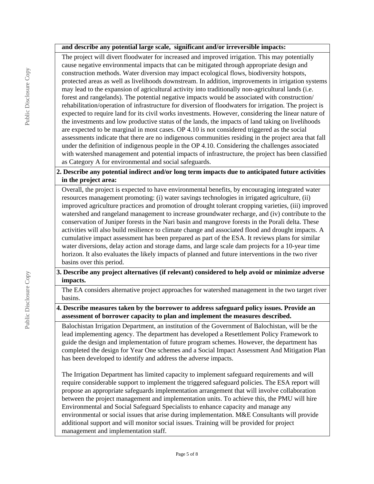#### **and describe any potential large scale, significant and/or irreversible impacts:**

The project will divert floodwater for increased and improved irrigation. This may potentially cause negative environmental impacts that can be mitigated through appropriate design and construction methods. Water diversion may impact ecological flows, biodiversity hotspots, protected areas as well as livelihoods downstream. In addition, improvements in irrigation systems may lead to the expansion of agricultural activity into traditionally non-agricultural lands (i.e. forest and rangelands). The potential negative impacts would be associated with construction/ rehabilitation/operation of infrastructure for diversion of floodwaters for irrigation. The project is expected to require land for its civil works investments. However, considering the linear nature of the investments and low productive status of the lands, the impacts of land taking on livelihoods are expected to be marginal in most cases. OP 4.10 is not considered triggered as the social assessments indicate that there are no indigenous communities residing in the project area that fall under the definition of indigenous people in the OP 4.10. Considering the challenges associated with watershed management and potential impacts of infrastructure, the project has been classified as Category A for environmental and social safeguards.

#### **2. Describe any potential indirect and/or long term impacts due to anticipated future activities in the project area:**

Overall, the project is expected to have environmental benefits, by encouraging integrated water resources management promoting: (i) water savings technologies in irrigated agriculture, (ii) improved agriculture practices and promotion of drought tolerant cropping varieties, (iii) improved watershed and rangeland management to increase groundwater recharge, and (iv) contribute to the conservation of Juniper forests in the Nari basin and mangrove forests in the Porali delta. These activities will also build resilience to climate change and associated flood and drought impacts. A cumulative impact assessment has been prepared as part of the ESA. It reviews plans for similar water diversions, delay action and storage dams, and large scale dam projects for a 10-year time horizon. It also evaluates the likely impacts of planned and future interventions in the two river basins over this period.

#### **3. Describe any project alternatives (if relevant) considered to help avoid or minimize adverse impacts.**

The EA considers alternative project approaches for watershed management in the two target river basins.

#### **4. Describe measures taken by the borrower to address safeguard policy issues. Provide an assessment of borrower capacity to plan and implement the measures described.**

Balochistan Irrigation Department, an institution of the Government of Balochistan, will be the lead implementing agency. The department has developed a Resettlement Policy Framework to guide the design and implementation of future program schemes. However, the department has completed the design for Year One schemes and a Social Impact Assessment And Mitigation Plan has been developed to identify and address the adverse impacts.

The Irrigation Department has limited capacity to implement safeguard requirements and will require considerable support to implement the triggered safeguard policies. The ESA report will propose an appropriate safeguards implementation arrangement that will involve collaboration between the project management and implementation units. To achieve this, the PMU will hire Environmental and Social Safeguard Specialists to enhance capacity and manage any environmental or social issues that arise during implementation. M&E Consultants will provide additional support and will monitor social issues. Training will be provided for project management and implementation staff.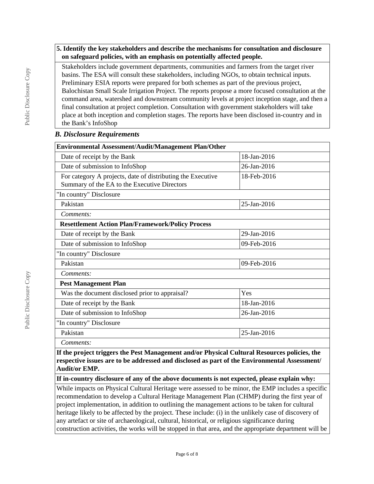#### **5. Identify the key stakeholders and describe the mechanisms for consultation and disclosure on safeguard policies, with an emphasis on potentially affected people.**

Stakeholders include government departments, communities and farmers from the target river basins. The ESA will consult these stakeholders, including NGOs, to obtain technical inputs. Preliminary ESIA reports were prepared for both schemes as part of the previous project, Balochistan Small Scale Irrigation Project. The reports propose a more focused consultation at the command area, watershed and downstream community levels at project inception stage, and then a final consultation at project completion. Consultation with government stakeholders will take place at both inception and completion stages. The reports have been disclosed in-country and in the Bank's InfoShop

#### *B. Disclosure Requirements*

| <b>Environmental Assessment/Audit/Management Plan/Other</b>                                                 |             |  |  |  |
|-------------------------------------------------------------------------------------------------------------|-------------|--|--|--|
| Date of receipt by the Bank                                                                                 | 18-Jan-2016 |  |  |  |
| Date of submission to InfoShop                                                                              | 26-Jan-2016 |  |  |  |
| For category A projects, date of distributing the Executive<br>Summary of the EA to the Executive Directors | 18-Feb-2016 |  |  |  |
| "In country" Disclosure                                                                                     |             |  |  |  |
| Pakistan                                                                                                    | 25-Jan-2016 |  |  |  |
| Comments:                                                                                                   |             |  |  |  |
| <b>Resettlement Action Plan/Framework/Policy Process</b>                                                    |             |  |  |  |
| Date of receipt by the Bank                                                                                 | 29-Jan-2016 |  |  |  |
| Date of submission to InfoShop                                                                              | 09-Feb-2016 |  |  |  |
| "In country" Disclosure                                                                                     |             |  |  |  |
| Pakistan                                                                                                    | 09-Feb-2016 |  |  |  |
| Comments:                                                                                                   |             |  |  |  |
| <b>Pest Management Plan</b>                                                                                 |             |  |  |  |
| Was the document disclosed prior to appraisal?                                                              | Yes         |  |  |  |
| Date of receipt by the Bank                                                                                 | 18-Jan-2016 |  |  |  |
| Date of submission to InfoShop                                                                              | 26-Jan-2016 |  |  |  |
| "In country" Disclosure                                                                                     |             |  |  |  |
| Pakistan                                                                                                    | 25-Jan-2016 |  |  |  |
| Comments:                                                                                                   |             |  |  |  |

**If the project triggers the Pest Management and/or Physical Cultural Resources policies, the respective issues are to be addressed and disclosed as part of the Environmental Assessment/ Audit/or EMP.**

**If in-country disclosure of any of the above documents is not expected, please explain why:**

While impacts on Physical Cultural Heritage were assessed to be minor, the EMP includes a specific recommendation to develop a Cultural Heritage Management Plan (CHMP) during the first year of project implementation, in addition to outlining the management actions to be taken for cultural heritage likely to be affected by the project. These include: (i) in the unlikely case of discovery of any artefact or site of archaeological, cultural, historical, or religious significance during construction activities, the works will be stopped in that area, and the appropriate department will be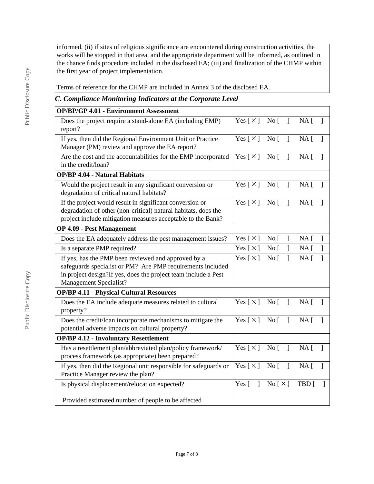informed, (ii) if sites of religious significance are encountered during construction activities, the works will be stopped in that area, and the appropriate department will be informed, as outlined in the chance finds procedure included in the disclosed EA; (iii) and finalization of the CHMP within the first year of project implementation.

Terms of reference for the CHMP are included in Annex 3 of the disclosed EA.

## *C. Compliance Monitoring Indicators at the Corporate Level*

| <b>OP/BP/GP 4.01 - Environment Assessment</b>                                                                                                                                                                 |                                        |                                 |                |                   |                |
|---------------------------------------------------------------------------------------------------------------------------------------------------------------------------------------------------------------|----------------------------------------|---------------------------------|----------------|-------------------|----------------|
| Does the project require a stand-alone EA (including EMP)<br>report?                                                                                                                                          | Yes [×] No [ ] NA [                    |                                 |                |                   | $\mathbf{I}$   |
| If yes, then did the Regional Environment Unit or Practice<br>Manager (PM) review and approve the EA report?                                                                                                  | Yes $\lceil \times \rceil$ No $\lceil$ |                                 | $\overline{1}$ | $NA$ [            | $\mathbf{I}$   |
| Are the cost and the accountabilities for the EMP incorporated<br>in the credit/loan?                                                                                                                         | Yes $[\times]$ No $[$                  |                                 | $\mathbf{1}$   | NA <sub>1</sub>   | $\overline{1}$ |
| <b>OP/BP 4.04 - Natural Habitats</b>                                                                                                                                                                          |                                        |                                 |                |                   |                |
| Would the project result in any significant conversion or<br>degradation of critical natural habitats?                                                                                                        | Yes $[\times]$ No $[$ ]                |                                 |                | NA <sub>1</sub>   |                |
| If the project would result in significant conversion or<br>degradation of other (non-critical) natural habitats, does the<br>project include mitigation measures acceptable to the Bank?                     | Yes [ $\times$ ]                       | $\overline{N}$ o $\overline{[}$ | $\mathbf{I}$   | $NA$ [            | 1              |
| <b>OP 4.09 - Pest Management</b>                                                                                                                                                                              |                                        |                                 |                |                   |                |
| Does the EA adequately address the pest management issues?                                                                                                                                                    | Yes [ $\times$ ]                       | No <sub>[</sub>                 | 1              | $NA$ [            | J              |
| Is a separate PMP required?                                                                                                                                                                                   | Yes $\lceil \times \rceil$             | No <sub>1</sub>                 | 1              | NA <sub>1</sub>   | 1              |
| If yes, has the PMP been reviewed and approved by a<br>safeguards specialist or PM? Are PMP requirements included<br>in project design?If yes, does the project team include a Pest<br>Management Specialist? | Yes $[\times]$                         | No <sub>[</sub> ]               | 1              | NA <sub>[</sub> ] | 1              |
| <b>OP/BP 4.11 - Physical Cultural Resources</b>                                                                                                                                                               |                                        |                                 |                |                   |                |
| Does the EA include adequate measures related to cultural<br>property?                                                                                                                                        | Yes $[\times]$ No $[$                  |                                 | $\overline{1}$ | NA <sub>1</sub>   | $\mathbf{1}$   |
| Does the credit/loan incorporate mechanisms to mitigate the<br>potential adverse impacts on cultural property?                                                                                                | Yes $\lceil \times \rceil$             | $\overline{N}$ o                | $\mathbf{I}$   | NA <sub>1</sub>   |                |
| <b>OP/BP 4.12 - Involuntary Resettlement</b>                                                                                                                                                                  |                                        |                                 |                |                   |                |
| Has a resettlement plan/abbreviated plan/policy framework/<br>process framework (as appropriate) been prepared?                                                                                               | Yes $\lceil \times \rceil$             | $\overline{N}$ o                | $\mathbf{I}$   | NA <sub>1</sub>   | $\mathbf{1}$   |
| If yes, then did the Regional unit responsible for safeguards or<br>Practice Manager review the plan?                                                                                                         | Yes $\lceil \times \rceil$             | $\overline{N}$ o                | $\mathbf{I}$   | $NA \Gamma$       | $\mathbf{1}$   |
| Is physical displacement/relocation expected?                                                                                                                                                                 | $\mathbf{I}$<br>Yes $\lceil$           | $\text{No} [\times]$            |                | TBD [             |                |
| Provided estimated number of people to be affected                                                                                                                                                            |                                        |                                 |                |                   |                |